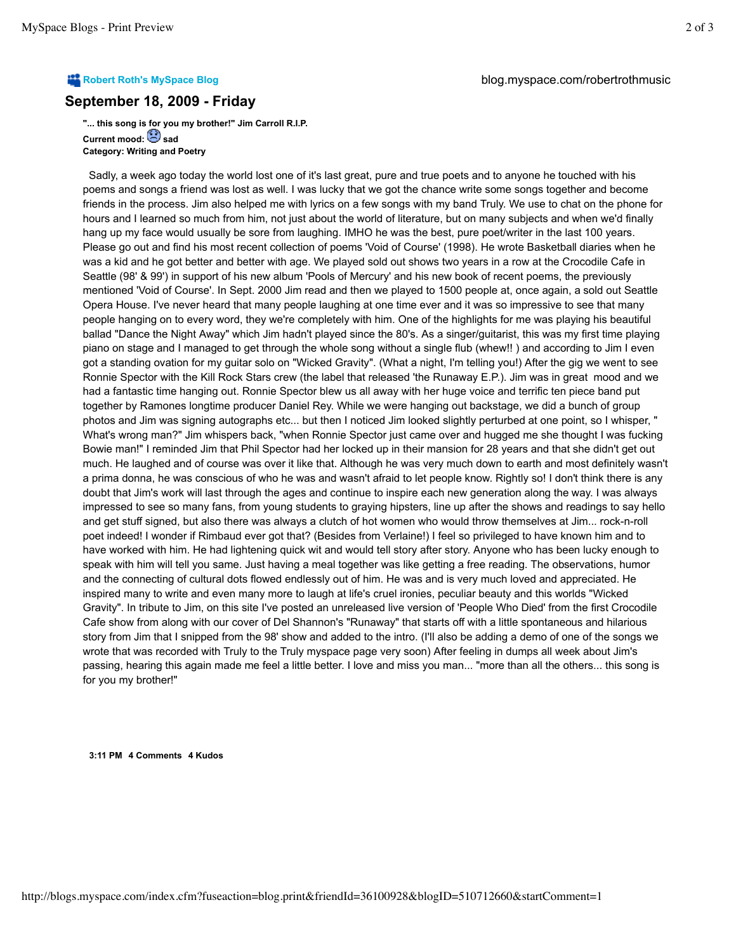## **September 18, 2009 - Friday**

**"... this song is for you my brother!" Jim Carroll R.I.P. Current mood: Sad Category: Writing and Poetry**

 Sadly, a week ago today the world lost one of it's last great, pure and true poets and to anyone he touched with his poems and songs a friend was lost as well. I was lucky that we got the chance write some songs together and become friends in the process. Jim also helped me with lyrics on a few songs with my band Truly. We use to chat on the phone for hours and I learned so much from him, not just about the world of literature, but on many subjects and when we'd finally hang up my face would usually be sore from laughing. IMHO he was the best, pure poet/writer in the last 100 years. Please go out and find his most recent collection of poems 'Void of Course' (1998). He wrote Basketball diaries when he was a kid and he got better and better with age. We played sold out shows two years in a row at the Crocodile Cafe in Seattle (98' & 99') in support of his new album 'Pools of Mercury' and his new book of recent poems, the previously mentioned 'Void of Course'. In Sept. 2000 Jim read and then we played to 1500 people at, once again, a sold out Seattle Opera House. I've never heard that many people laughing at one time ever and it was so impressive to see that many people hanging on to every word, they we're completely with him. One of the highlights for me was playing his beautiful ballad "Dance the Night Away" which Jim hadn't played since the 80's. As a singer/guitarist, this was my first time playing piano on stage and I managed to get through the whole song without a single flub (whew!! ) and according to Jim I even got a standing ovation for my guitar solo on "Wicked Gravity". (What a night, I'm telling you!) After the gig we went to see Ronnie Spector with the Kill Rock Stars crew (the label that released 'the Runaway E.P.). Jim was in great mood and we had a fantastic time hanging out. Ronnie Spector blew us all away with her huge voice and terrific ten piece band put together by Ramones longtime producer Daniel Rey. While we were hanging out backstage, we did a bunch of group photos and Jim was signing autographs etc... but then I noticed Jim looked slightly perturbed at one point, so I whisper, " What's wrong man?" Jim whispers back, "when Ronnie Spector just came over and hugged me she thought I was fucking Bowie man!" I reminded Jim that Phil Spector had her locked up in their mansion for 28 years and that she didn't get out much. He laughed and of course was over it like that. Although he was very much down to earth and most definitely wasn't a prima donna, he was conscious of who he was and wasn't afraid to let people know. Rightly so! I don't think there is any doubt that Jim's work will last through the ages and continue to inspire each new generation along the way. I was always impressed to see so many fans, from young students to graying hipsters, line up after the shows and readings to say hello and get stuff signed, but also there was always a clutch of hot women who would throw themselves at Jim... rock-n-roll poet indeed! I wonder if Rimbaud ever got that? (Besides from Verlaine!) I feel so privileged to have known him and to have worked with him. He had lightening quick wit and would tell story after story. Anyone who has been lucky enough to speak with him will tell you same. Just having a meal together was like getting a free reading. The observations, humor and the connecting of cultural dots flowed endlessly out of him. He was and is very much loved and appreciated. He inspired many to write and even many more to laugh at life's cruel ironies, peculiar beauty and this worlds "Wicked Gravity". In tribute to Jim, on this site I've posted an unreleased live version of 'People Who Died' from the first Crocodile Cafe show from along with our cover of Del Shannon's "Runaway" that starts off with a little spontaneous and hilarious story from Jim that I snipped from the 98' show and added to the intro. (I'll also be adding a demo of one of the songs we wrote that was recorded with Truly to the Truly myspace page very soon) After feeling in dumps all week about Jim's passing, hearing this again made me feel a little better. I love and miss you man... "more than all the others... this song is for you my brother!"

**3:11 PM 4 Comments 4 Kudos**